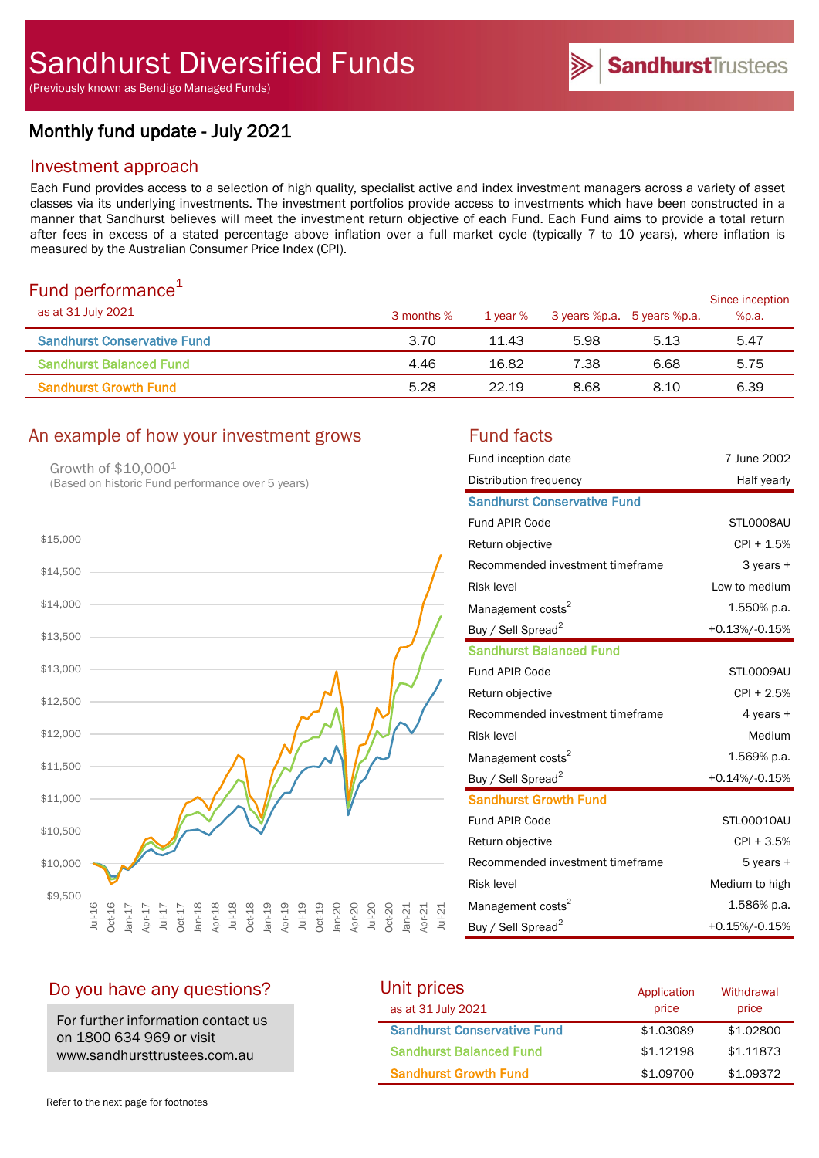(Previously known as Bendigo Managed Funds)

# Monthly fund update - July 2021

## Investment approach

Each Fund provides access to a selection of high quality, specialist active and index investment managers across a variety of asset classes via its underlying investments. The investment portfolios provide access to investments which have been constructed in a manner that Sandhurst believes will meet the investment return objective of each Fund. Each Fund aims to provide a total return after fees in excess of a stated percentage above inflation over a full market cycle (typically 7 to 10 years), where inflation is measured by the Australian Consumer Price Index (CPI).

# Fund performance $1$

| as at 31 July 2021                 | 3 months % | 1 year % | 3 years %p.a. 5 years %p.a. |      | Since inception<br>%p.a. |
|------------------------------------|------------|----------|-----------------------------|------|--------------------------|
| <b>Sandhurst Conservative Fund</b> | 3.70       | 11.43    | 5.98                        | 5.13 | 5.47                     |
| <b>Sandhurst Balanced Fund</b>     | 4.46       | 16.82    | 7.38                        | 6.68 | 5.75                     |
| <b>Sandhurst Growth Fund</b>       | 5.28       | 22.19    | 8.68                        | 8.10 | 6.39                     |

# An example of how your investment grows Fund facts

Growth of \$10,0001 (Based on historic Fund performance over 5 years)



| Fund inception date                | 7 June 2002    |
|------------------------------------|----------------|
| Distribution frequency             | Half yearly    |
| <b>Sandhurst Conservative Fund</b> |                |
| <b>Fund APIR Code</b>              | STL0008AU      |
| Return objective                   | $CPI + 1.5%$   |
| Recommended investment timeframe   | 3 years +      |
| <b>Risk level</b>                  | Low to medium  |
| Management costs <sup>2</sup>      | 1.550% p.a.    |
| Buy / Sell Spread <sup>2</sup>     | +0.13%/-0.15%  |
| <b>Sandhurst Balanced Fund</b>     |                |
| <b>Fund APIR Code</b>              | STLO009AU      |
| Return objective                   | $CPI + 2.5%$   |
| Recommended investment timeframe   | 4 years +      |
| <b>Risk level</b>                  | Medium         |
| Management costs <sup>2</sup>      | 1.569% p.a.    |
| Buy / Sell Spread <sup>2</sup>     | +0.14%/-0.15%  |
| <b>Sandhurst Growth Fund</b>       |                |
| <b>Fund APIR Code</b>              | STL00010AU     |
| Return objective                   | $CPI + 3.5%$   |
| Recommended investment timeframe   | 5 years +      |
| <b>Risk level</b>                  | Medium to high |
| Management costs <sup>2</sup>      | 1.586% p.a.    |
| Buy / Sell Spread <sup>2</sup>     | +0.15%/-0.15%  |

# Do you have any questions?

For further information contact us on 1800 634 969 or visit www.sandhursttrustees.com.au

| Unit prices                        | Application | Withdrawal |
|------------------------------------|-------------|------------|
| as at 31 July 2021                 | price       | price      |
| <b>Sandhurst Conservative Fund</b> | \$1,03089   | \$1,02800  |
| <b>Sandhurst Balanced Fund</b>     | \$1.12198   | \$1,11873  |
| <b>Sandhurst Growth Fund</b>       | \$1,09700   | \$1,09372  |